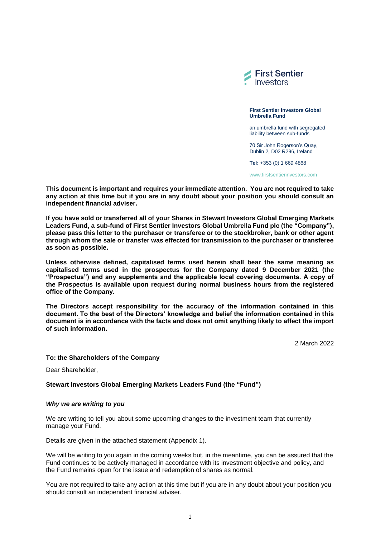

**First Sentier Investors Global Umbrella Fund**

an umbrella fund with segregated liability between sub-funds

70 Sir John Rogerson's Quay, Dublin 2, D02 R296, Ireland

**Tel:** +353 (0) 1 669 4868

[www.firstsentierinvestors.com](http://www.firstsentierinvestors.com/)

**This document is important and requires your immediate attention. You are not required to take any action at this time but if you are in any doubt about your position you should consult an independent financial adviser.**

**If you have sold or transferred all of your Shares in Stewart Investors Global Emerging Markets Leaders Fund, a sub-fund of First Sentier Investors Global Umbrella Fund plc (the "Company"), please pass this letter to the purchaser or transferee or to the stockbroker, bank or other agent through whom the sale or transfer was effected for transmission to the purchaser or transferee as soon as possible.** 

**Unless otherwise defined, capitalised terms used herein shall bear the same meaning as capitalised terms used in the prospectus for the Company dated 9 December 2021 (the "Prospectus") and any supplements and the applicable local covering documents. A copy of the Prospectus is available upon request during normal business hours from the registered office of the Company.**

**The Directors accept responsibility for the accuracy of the information contained in this document. To the best of the Directors' knowledge and belief the information contained in this document is in accordance with the facts and does not omit anything likely to affect the import of such information.**

2 March 2022

## **To: the Shareholders of the Company**

Dear Shareholder,

## **Stewart Investors Global Emerging Markets Leaders Fund (the "Fund")**

#### *Why we are writing to you*

We are writing to tell you about some upcoming changes to the investment team that currently manage your Fund*.*

Details are given in the attached statement (Appendix 1).

We will be writing to you again in the coming weeks but, in the meantime, you can be assured that the Fund continues to be actively managed in accordance with its investment objective and policy, and the Fund remains open for the issue and redemption of shares as normal.

You are not required to take any action at this time but if you are in any doubt about your position you should consult an independent financial adviser.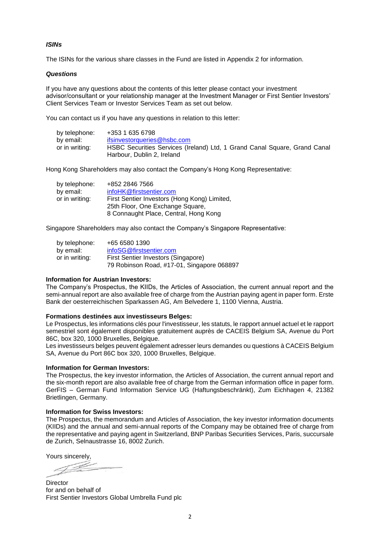# *ISINs*

The ISINs for the various share classes in the Fund are listed in Appendix 2 for information.

### *Questions*

If you have any questions about the contents of this letter please contact your investment advisor/consultant or your relationship manager at the Investment Manager or First Sentier Investors' Client Services Team or Investor Services Team as set out below.

You can contact us if you have any questions in relation to this letter:

| by telephone:  | +353 1 635 6798                                                                                         |
|----------------|---------------------------------------------------------------------------------------------------------|
| by email:      | ifsinvestorqueries@hsbc.com                                                                             |
| or in writing: | HSBC Securities Services (Ireland) Ltd, 1 Grand Canal Square, Grand Canal<br>Harbour, Dublin 2, Ireland |

Hong Kong Shareholders may also contact the Company's Hong Kong Representative:

| by telephone:  | +852 2846 7566                               |
|----------------|----------------------------------------------|
| by email:      | infoHK@firstsentier.com                      |
| or in writing: | First Sentier Investors (Hong Kong) Limited, |
|                | 25th Floor, One Exchange Square,             |
|                | 8 Connaught Place, Central, Hong Kong        |

Singapore Shareholders may also contact the Company's Singapore Representative:

| by telephone:  | +65 6580 1390                              |
|----------------|--------------------------------------------|
| by email:      | infoSG@firstsentier.com                    |
| or in writing: | First Sentier Investors (Singapore)        |
|                | 79 Robinson Road, #17-01, Singapore 068897 |

#### **Information for Austrian Investors:**

The Company's Prospectus, the KIIDs, the Articles of Association, the current annual report and the semi-annual report are also available free of charge from the Austrian paying agent in paper form. Erste Bank der oesterreichischen Sparkassen AG, Am Belvedere 1, 1100 Vienna, Austria.

#### **Formations destinées aux investisseurs Belges:**

Le Prospectus, les informations clés pour l'investisseur, les statuts, le rapport annuel actuel et le rapport semestriel sont également disponibles gratuitement auprès de CACEIS Belgium SA, Avenue du Port 86C, box 320, 1000 Bruxelles, Belgique.

Les investisseurs belges peuvent également adresser leurs demandes ou questions à CACEIS Belgium SA, Avenue du Port 86C box 320, 1000 Bruxelles, Belgique.

#### **Information for German Investors:**

The Prospectus, the key investor information, the Articles of Association, the current annual report and the six-month report are also available free of charge from the German information office in paper form. GerFIS – German Fund Information Service UG (Haftungsbeschränkt), Zum Eichhagen 4, 21382 Brietlingen, Germany.

#### **Information for Swiss Investors:**

The Prospectus, the memorandum and Articles of Association, the key investor information documents (KIIDs) and the annual and semi-annual reports of the Company may be obtained free of charge from the representative and paying agent in Switzerland, BNP Paribas Securities Services, Paris, succursale de Zurich, Selnaustrasse 16, 8002 Zurich.

Yours sincerely,

**Director** for and on behalf of First Sentier Investors Global Umbrella Fund plc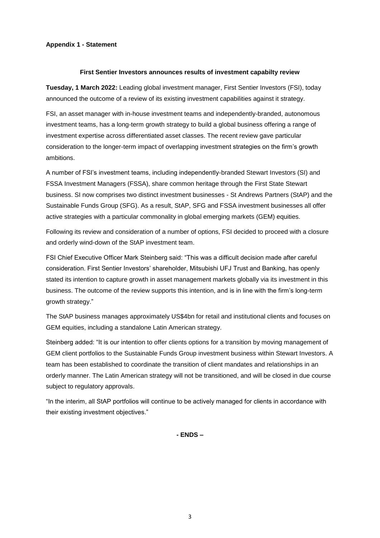# **Appendix 1 - Statement**

### **First Sentier Investors announces results of investment capabilty review**

**Tuesday, 1 March 2022:** Leading global investment manager, First Sentier Investors (FSI), today announced the outcome of a review of its existing investment capabilities against it strategy.

FSI, an asset manager with in-house investment teams and independently-branded, autonomous investment teams, has a long-term growth strategy to build a global business offering a range of investment expertise across differentiated asset classes. The recent review gave particular consideration to the longer-term impact of overlapping investment strategies on the firm's growth ambitions.

A number of FSI's investment teams, including independently-branded Stewart Investors (SI) and FSSA Investment Managers (FSSA), share common heritage through the First State Stewart business. SI now comprises two distinct investment businesses - St Andrews Partners (StAP) and the Sustainable Funds Group (SFG). As a result, StAP, SFG and FSSA investment businesses all offer active strategies with a particular commonality in global emerging markets (GEM) equities.

Following its review and consideration of a number of options, FSI decided to proceed with a closure and orderly wind-down of the StAP investment team.

FSI Chief Executive Officer Mark Steinberg said: "This was a difficult decision made after careful consideration. First Sentier Investors' shareholder, Mitsubishi UFJ Trust and Banking, has openly stated its intention to capture growth in asset management markets globally via its investment in this business. The outcome of the review supports this intention, and is in line with the firm's long-term growth strategy."

The StAP business manages approximately US\$4bn for retail and institutional clients and focuses on GEM equities, including a standalone Latin American strategy.

Steinberg added: "It is our intention to offer clients options for a transition by moving management of GEM client portfolios to the Sustainable Funds Group investment business within Stewart Investors. A team has been established to coordinate the transition of client mandates and relationships in an orderly manner. The Latin American strategy will not be transitioned, and will be closed in due course subject to regulatory approvals.

"In the interim, all StAP portfolios will continue to be actively managed for clients in accordance with their existing investment objectives."

**- ENDS –**